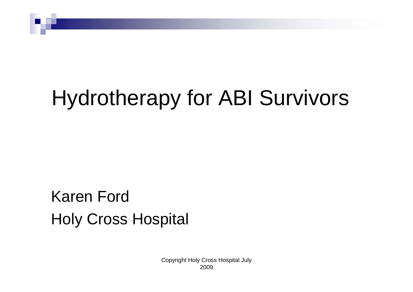# Hydrotherapy for ABI Survivors

#### Karen FordHoly Cross Hospital

Copyright Holy Cross Hospital July 2009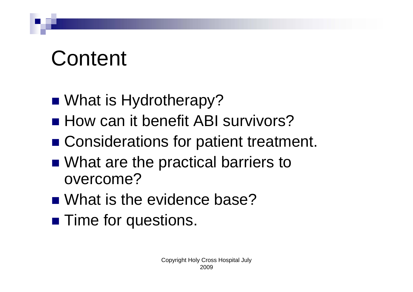# Content

- What is Hydrotherapy?
- How can it benefit ABI survivors?
- Considerations for patient treatment.
- What are the practical barriers to overcome?
- What is the evidence base?
- **Time for questions.**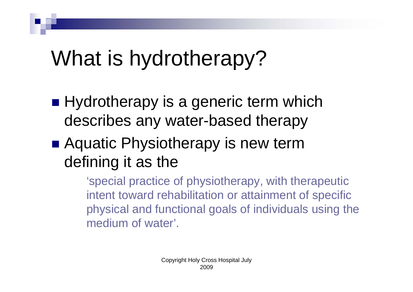# What is hydrotherapy?

- Hydrotherapy is a generic term which describes any water-based therapy
- Aquatic Physiotherapy is new term defining it as the

'special practice of physiotherapy, with therapeutic intent toward rehabilitation or attainment of specific physical and functional goals of individuals using the medium of water'.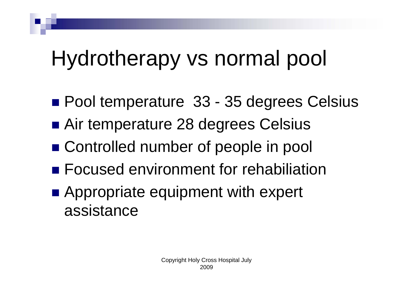# Hydrotherapy vs normal pool

- Pool temperature 33 35 degrees Celsius
- Air temperature 28 degrees Celsius
- Controlled number of people in pool
- **Focused environment for rehabiliation**
- **Appropriate equipment with expert** assistance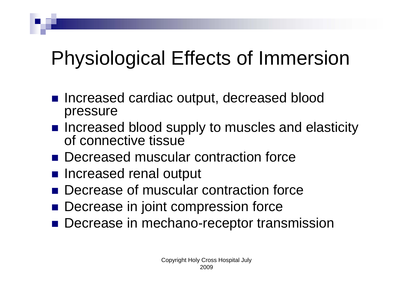### Physiological Effects of Immersion

- Increased cardiac output, decreased blood pressure
- Increased blood supply to muscles and elasticity of connective tissue
- Decreased muscular contraction force
- **n** Increased renal output
- **Decrease of muscular contraction force**
- $\mathcal{L}_{\mathcal{A}}$ Decrease in joint compression force
- Decrease in mechano-receptor transmission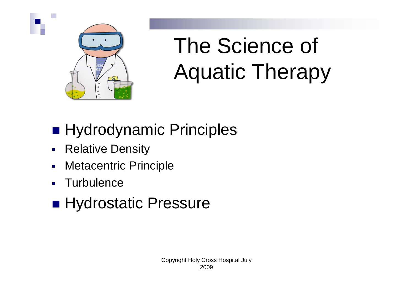

# The Science of Aquatic Therapy

#### ■ Hydrodynamic Principles

- $\mathcal{L}_{\mathcal{A}}$ Relative Density
- $\blacksquare$ Metacentric Principle
- П **Turbulence**

#### ■ Hydrostatic Pressure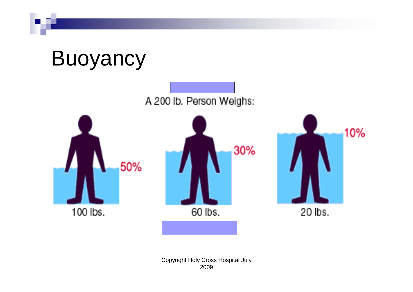

10%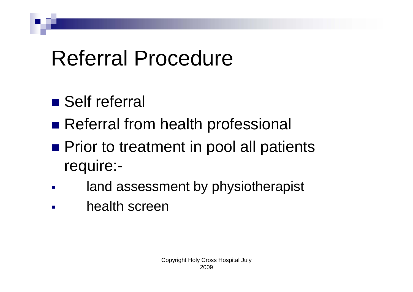# Referral Procedure

- Self referral
- **Referral from health professional**
- **Prior to treatment in pool all patients** require:-
- land assessment by physiotherapist
- health screen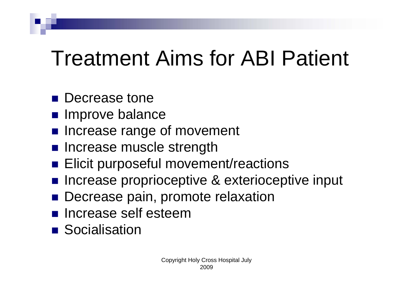# Treatment Aims for ABI Patient

- **Decrease tone**
- **Improve balance**
- **Increase range of movement**
- **n** Increase muscle strength
- **Elicit purposeful movement/reactions**
- Increase proprioceptive & exterioceptive input
- **Decrease pain, promote relaxation**
- **n** Increase self esteem
- **Socialisation**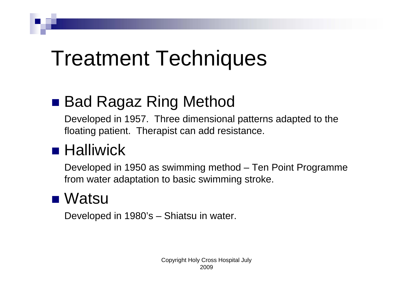## Treatment Techniques

#### ■ Bad Ragaz Ring Method

Developed in 1957. Three dimensional patterns adapted to the floating patient. Therapist can add resistance.

#### ■ Halliwick

Developed in 1950 as swimming method – Ten Point Programme from water adaptation to basic swimming stroke.

#### ■ Watsu

Developed in 1980's – Shiatsu in water.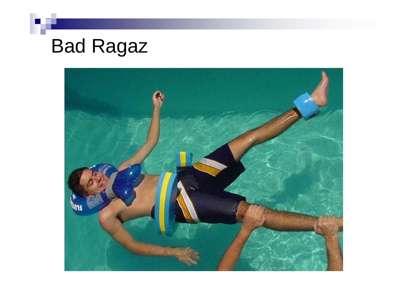### Bad Ragaz

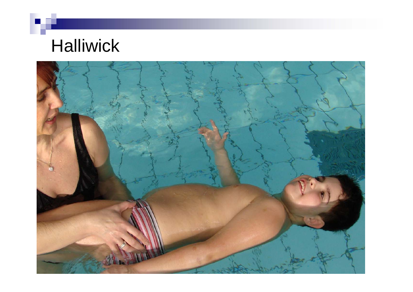### **Halliwick**

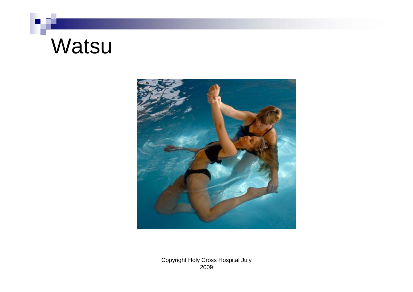### **Watsu**



Copyright Holy Cross Hospital July 2009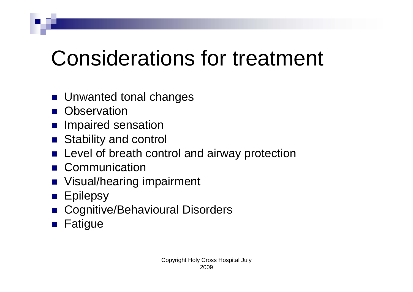# Considerations for treatment

- Unwanted tonal changes
- **D** Observation
- **Impaired sensation**
- M. Stability and control
- **E** Level of breath control and airway protection
- **Communication**
- **Notal/hearing impairment**
- **Epilepsy**
- M. Cognitive/Behavioural Disorders
- M. Fatigue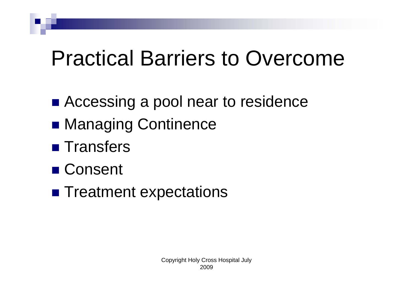### Practical Barriers to Overcome

- Accessing a pool near to residence
- Managing Continence
- **Transfers**
- Consent
- **Treatment expectations**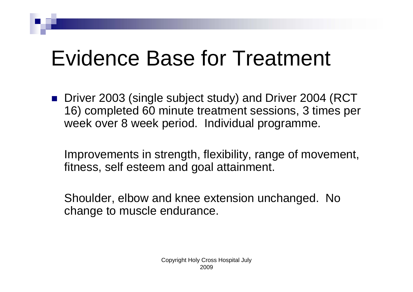## Evidence Base for Treatment

■ Driver 2003 (single subject study) and Driver 2004 (RCT 16) completed 60 minute treatment sessions, 3 times per week over 8 week period. Individual programme.

Improvements in strength, flexibility, range of movement, fitness, self esteem and goal attainment.

Shoulder, elbow and knee extension unchanged. No change to muscle endurance.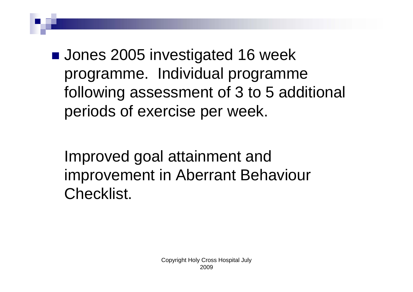**Jones 2005 investigated 16 week** programme. Individual programme following assessment of 3 to 5 additional periods of exercise per week.

Improved goal attainment and improvement in Aberrant Behaviour Checklist.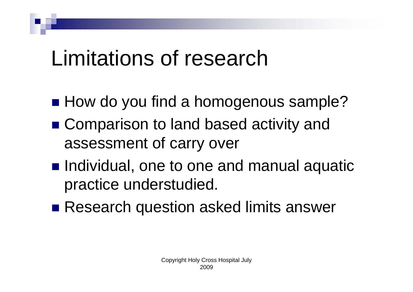### Limitations of research

- How do you find a homogenous sample?
- Comparison to land based activity and assessment of carry over
- **Individual, one to one and manual aquatic** practice understudied.
- Research question asked limits answer